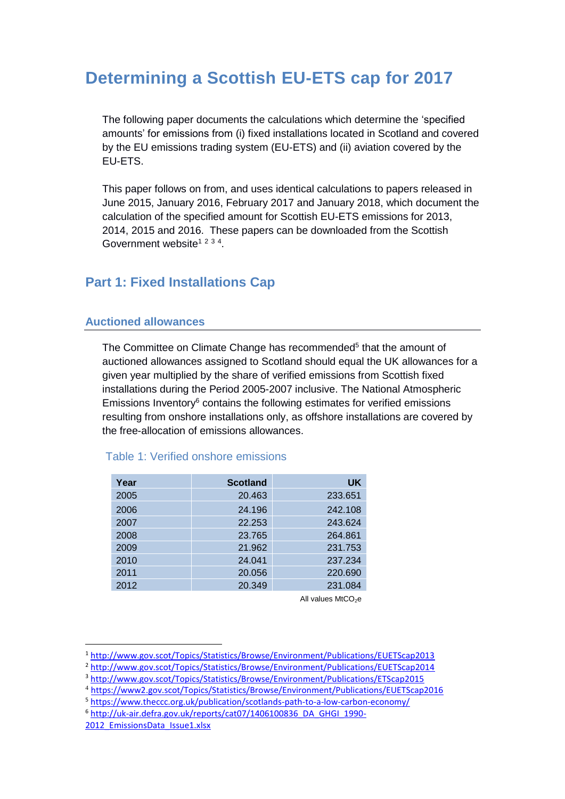# **Determining a Scottish EU-ETS cap for 2017**

The following paper documents the calculations which determine the 'specified amounts' for emissions from (i) fixed installations located in Scotland and covered by the EU emissions trading system (EU-ETS) and (ii) aviation covered by the EU-ETS.

This paper follows on from, and uses identical calculations to papers released in June 2015, January 2016, February 2017 and January 2018, which document the calculation of the specified amount for Scottish EU-ETS emissions for 2013, 2014, 2015 and 2016. These papers can be downloaded from the Scottish Government website<sup>1 2 3 4</sup>.

# **Part 1: Fixed Installations Cap**

# **Auctioned allowances**

The Committee on Climate Change has recommended<sup>5</sup> that the amount of auctioned allowances assigned to Scotland should equal the UK allowances for a given year multiplied by the share of verified emissions from Scottish fixed installations during the Period 2005-2007 inclusive. The National Atmospheric Emissions Inventory $6$  contains the following estimates for verified emissions resulting from onshore installations only, as offshore installations are covered by the free-allocation of emissions allowances.

| Year | <b>Scotland</b> | <b>UK</b> |
|------|-----------------|-----------|
| 2005 | 20.463          | 233.651   |
| 2006 | 24.196          | 242.108   |
| 2007 | 22.253          | 243.624   |
| 2008 | 23.765          | 264.861   |
| 2009 | 21.962          | 231.753   |
| 2010 | 24.041          | 237.234   |
| 2011 | 20.056          | 220.690   |
| 2012 | 20.349          | 231.084   |
|      |                 |           |

# Table 1: Verified onshore emissions

All values  $MtCO<sub>2</sub>e$ 

1

<sup>1</sup> <http://www.gov.scot/Topics/Statistics/Browse/Environment/Publications/EUETScap2013>

<sup>2</sup> <http://www.gov.scot/Topics/Statistics/Browse/Environment/Publications/EUETScap2014>

<sup>3</sup> <http://www.gov.scot/Topics/Statistics/Browse/Environment/Publications/ETScap2015>

<sup>4</sup> <https://www2.gov.scot/Topics/Statistics/Browse/Environment/Publications/EUETScap2016>

<sup>5</sup> <https://www.theccc.org.uk/publication/scotlands-path-to-a-low-carbon-economy/>

<sup>6</sup> [http://uk-air.defra.gov.uk/reports/cat07/1406100836\\_DA\\_GHGI\\_1990-](http://uk-air.defra.gov.uk/reports/cat07/1406100836_DA_GHGI_1990-2012_EmissionsData_Issue1.xlsx)

<sup>2012</sup> EmissionsData Issue1.xlsx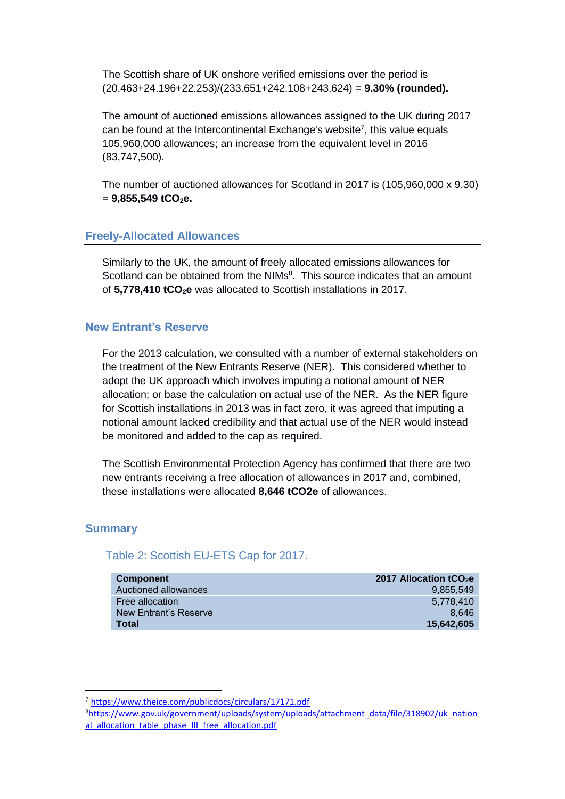The Scottish share of UK onshore verified emissions over the period is (20.463+24.196+22.253)/(233.651+242.108+243.624) = **9.30% (rounded).**

The amount of auctioned emissions allowances assigned to the UK during 2017 can be found at the Intercontinental Exchange's website<sup>7</sup>, this value equals 105,960,000 allowances; an increase from the equivalent level in 2016 (83,747,500).

The number of auctioned allowances for Scotland in 2017 is (105,960,000 x 9.30)  $= 9,855,549$  **tCO**<sub>2</sub>**e.** 

### **Freely-Allocated Allowances**

Similarly to the UK, the amount of freely allocated emissions allowances for Scotland can be obtained from the NIMs<sup>8</sup>. This source indicates that an amount of **5,778,410 tCO2e** was allocated to Scottish installations in 2017.

# **New Entrant's Reserve**

For the 2013 calculation, we consulted with a number of external stakeholders on the treatment of the New Entrants Reserve (NER). This considered whether to adopt the UK approach which involves imputing a notional amount of NER allocation; or base the calculation on actual use of the NER. As the NER figure for Scottish installations in 2013 was in fact zero, it was agreed that imputing a notional amount lacked credibility and that actual use of the NER would instead be monitored and added to the cap as required.

The Scottish Environmental Protection Agency has confirmed that there are two new entrants receiving a free allocation of allowances in 2017 and, combined, these installations were allocated **8,646 tCO2e** of allowances.

#### **Summary**

<u>.</u>

# Table 2: Scottish EU-ETS Cap for 2017.

| <b>Component</b>      | 2017 Allocation tCO <sub>2</sub> e |
|-----------------------|------------------------------------|
| Auctioned allowances  | 9.855.549                          |
| Free allocation       | 5.778.410                          |
| New Entrant's Reserve | 8.646                              |
| <b>Total</b>          | 15.642.605                         |

<sup>7</sup> https://www.theice.com/publicdocs/circulars/17171.pdf

<sup>8</sup>[https://www.gov.uk/government/uploads/system/uploads/attachment\\_data/file/318902/uk\\_nation](https://www.gov.uk/government/uploads/system/uploads/attachment_data/file/318902/uk_national_allocation_table_phase_III_free_allocation.pdf) al allocation table phase III free allocation.pdf